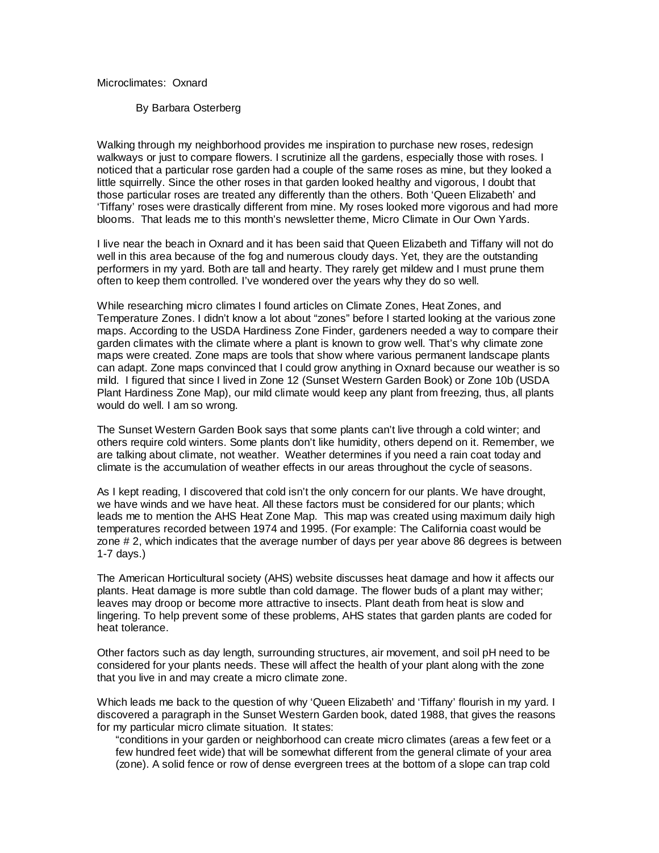## Microclimates: Oxnard

By Barbara Osterberg

Walking through my neighborhood provides me inspiration to purchase new roses, redesign walkways or just to compare flowers. I scrutinize all the gardens, especially those with roses. I noticed that a particular rose garden had a couple of the same roses as mine, but they looked a little squirrelly. Since the other roses in that garden looked healthy and vigorous, I doubt that those particular roses are treated any differently than the others. Both 'Queen Elizabeth' and 'Tiffany' roses were drastically different from mine. My roses looked more vigorous and had more blooms. That leads me to this month's newsletter theme, Micro Climate in Our Own Yards.

I live near the beach in Oxnard and it has been said that Queen Elizabeth and Tiffany will not do well in this area because of the fog and numerous cloudy days. Yet, they are the outstanding performers in my yard. Both are tall and hearty. They rarely get mildew and I must prune them often to keep them controlled. I've wondered over the years why they do so well.

While researching micro climates I found articles on Climate Zones, Heat Zones, and Temperature Zones. I didn't know a lot about "zones" before I started looking at the various zone maps. According to the USDA Hardiness Zone Finder, gardeners needed a way to compare their garden climates with the climate where a plant is known to grow well. That's why climate zone maps were created. Zone maps are tools that show where various permanent landscape plants can adapt. Zone maps convinced that I could grow anything in Oxnard because our weather is so mild. I figured that since I lived in Zone 12 (Sunset Western Garden Book) or Zone 10b (USDA Plant Hardiness Zone Map), our mild climate would keep any plant from freezing, thus, all plants would do well. I am so wrong.

The Sunset Western Garden Book says that some plants can't live through a cold winter; and others require cold winters. Some plants don't like humidity, others depend on it. Remember, we are talking about climate, not weather. Weather determines if you need a rain coat today and climate is the accumulation of weather effects in our areas throughout the cycle of seasons.

As I kept reading, I discovered that cold isn't the only concern for our plants. We have drought, we have winds and we have heat. All these factors must be considered for our plants; which leads me to mention the AHS Heat Zone Map. This map was created using maximum daily high temperatures recorded between 1974 and 1995. (For example: The California coast would be zone # 2, which indicates that the average number of days per year above 86 degrees is between 1-7 days.)

The American Horticultural society (AHS) website discusses heat damage and how it affects our plants. Heat damage is more subtle than cold damage. The flower buds of a plant may wither; leaves may droop or become more attractive to insects. Plant death from heat is slow and lingering. To help prevent some of these problems, AHS states that garden plants are coded for heat tolerance.

Other factors such as day length, surrounding structures, air movement, and soil pH need to be considered for your plants needs. These will affect the health of your plant along with the zone that you live in and may create a micro climate zone.

Which leads me back to the question of why 'Queen Elizabeth' and 'Tiffany' flourish in my yard. I discovered a paragraph in the Sunset Western Garden book, dated 1988, that gives the reasons for my particular micro climate situation. It states:

"conditions in your garden or neighborhood can create micro climates (areas a few feet or a few hundred feet wide) that will be somewhat different from the general climate of your area (zone). A solid fence or row of dense evergreen trees at the bottom of a slope can trap cold